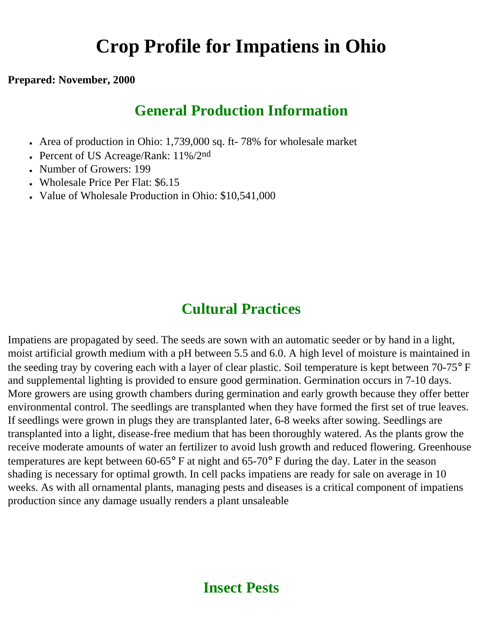# **Crop Profile for Impatiens in Ohio**

#### **Prepared: November, 2000**

### **General Production Information**

- Area of production in Ohio: 1,739,000 sq. ft- 78% for wholesale market
- Percent of US Acreage/Rank:  $11\%/2<sup>nd</sup>$
- Number of Growers: 199
- Wholesale Price Per Flat: \$6.15
- Value of Wholesale Production in Ohio: \$10,541,000

### **Cultural Practices**

Impatiens are propagated by seed. The seeds are sown with an automatic seeder or by hand in a light, moist artificial growth medium with a pH between 5.5 and 6.0. A high level of moisture is maintained in the seeding tray by covering each with a layer of clear plastic. Soil temperature is kept between 70-75° F and supplemental lighting is provided to ensure good germination. Germination occurs in 7-10 days. More growers are using growth chambers during germination and early growth because they offer better environmental control. The seedlings are transplanted when they have formed the first set of true leaves. If seedlings were grown in plugs they are transplanted later, 6-8 weeks after sowing. Seedlings are transplanted into a light, disease-free medium that has been thoroughly watered. As the plants grow the receive moderate amounts of water an fertilizer to avoid lush growth and reduced flowering. Greenhouse temperatures are kept between 60-65° F at night and 65-70° F during the day. Later in the season shading is necessary for optimal growth. In cell packs impatiens are ready for sale on average in 10 weeks. As with all ornamental plants, managing pests and diseases is a critical component of impatiens production since any damage usually renders a plant unsaleable

### **Insect Pests**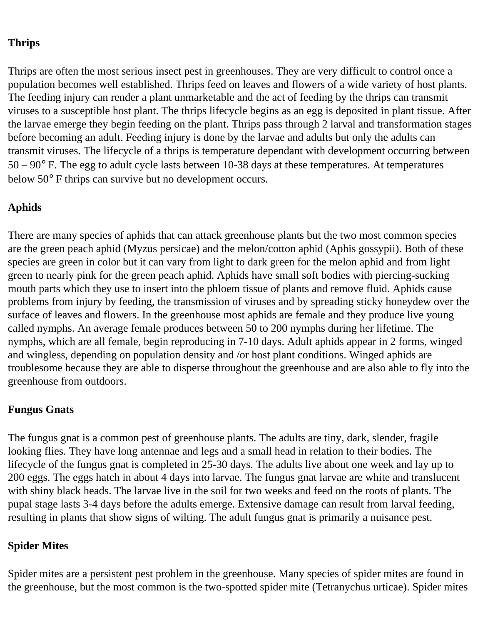### **Thrips**

Thrips are often the most serious insect pest in greenhouses. They are very difficult to control once a population becomes well established. Thrips feed on leaves and flowers of a wide variety of host plants. The feeding injury can render a plant unmarketable and the act of feeding by the thrips can transmit viruses to a susceptible host plant. The thrips lifecycle begins as an egg is deposited in plant tissue. After the larvae emerge they begin feeding on the plant. Thrips pass through 2 larval and transformation stages before becoming an adult. Feeding injury is done by the larvae and adults but only the adults can transmit viruses. The lifecycle of a thrips is temperature dependant with development occurring between  $50 - 90^{\circ}$  F. The egg to adult cycle lasts between 10-38 days at these temperatures. At temperatures below 50° F thrips can survive but no development occurs.

### **Aphids**

There are many species of aphids that can attack greenhouse plants but the two most common species are the green peach aphid (Myzus persicae) and the melon/cotton aphid (Aphis gossypii). Both of these species are green in color but it can vary from light to dark green for the melon aphid and from light green to nearly pink for the green peach aphid. Aphids have small soft bodies with piercing-sucking mouth parts which they use to insert into the phloem tissue of plants and remove fluid. Aphids cause problems from injury by feeding, the transmission of viruses and by spreading sticky honeydew over the surface of leaves and flowers. In the greenhouse most aphids are female and they produce live young called nymphs. An average female produces between 50 to 200 nymphs during her lifetime. The nymphs, which are all female, begin reproducing in 7-10 days. Adult aphids appear in 2 forms, winged and wingless, depending on population density and /or host plant conditions. Winged aphids are troublesome because they are able to disperse throughout the greenhouse and are also able to fly into the greenhouse from outdoors.

### **Fungus Gnats**

The fungus gnat is a common pest of greenhouse plants. The adults are tiny, dark, slender, fragile looking flies. They have long antennae and legs and a small head in relation to their bodies. The lifecycle of the fungus gnat is completed in 25-30 days. The adults live about one week and lay up to 200 eggs. The eggs hatch in about 4 days into larvae. The fungus gnat larvae are white and translucent with shiny black heads. The larvae live in the soil for two weeks and feed on the roots of plants. The pupal stage lasts 3-4 days before the adults emerge. Extensive damage can result from larval feeding, resulting in plants that show signs of wilting. The adult fungus gnat is primarily a nuisance pest.

### **Spider Mites**

Spider mites are a persistent pest problem in the greenhouse. Many species of spider mites are found in the greenhouse, but the most common is the two-spotted spider mite (Tetranychus urticae). Spider mites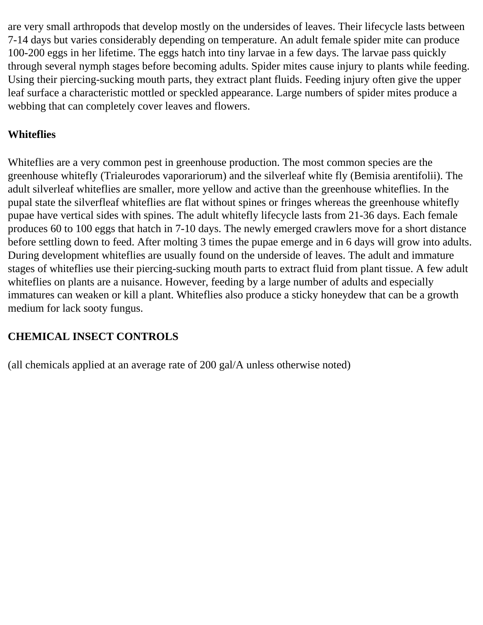are very small arthropods that develop mostly on the undersides of leaves. Their lifecycle lasts between 7-14 days but varies considerably depending on temperature. An adult female spider mite can produce 100-200 eggs in her lifetime. The eggs hatch into tiny larvae in a few days. The larvae pass quickly through several nymph stages before becoming adults. Spider mites cause injury to plants while feeding. Using their piercing-sucking mouth parts, they extract plant fluids. Feeding injury often give the upper leaf surface a characteristic mottled or speckled appearance. Large numbers of spider mites produce a webbing that can completely cover leaves and flowers.

### **Whiteflies**

Whiteflies are a very common pest in greenhouse production. The most common species are the greenhouse whitefly (Trialeurodes vaporariorum) and the silverleaf white fly (Bemisia arentifolii). The adult silverleaf whiteflies are smaller, more yellow and active than the greenhouse whiteflies. In the pupal state the silverfleaf whiteflies are flat without spines or fringes whereas the greenhouse whitefly pupae have vertical sides with spines. The adult whitefly lifecycle lasts from 21-36 days. Each female produces 60 to 100 eggs that hatch in 7-10 days. The newly emerged crawlers move for a short distance before settling down to feed. After molting 3 times the pupae emerge and in 6 days will grow into adults. During development whiteflies are usually found on the underside of leaves. The adult and immature stages of whiteflies use their piercing-sucking mouth parts to extract fluid from plant tissue. A few adult whiteflies on plants are a nuisance. However, feeding by a large number of adults and especially immatures can weaken or kill a plant. Whiteflies also produce a sticky honeydew that can be a growth medium for lack sooty fungus.

### **CHEMICAL INSECT CONTROLS**

(all chemicals applied at an average rate of 200 gal/A unless otherwise noted)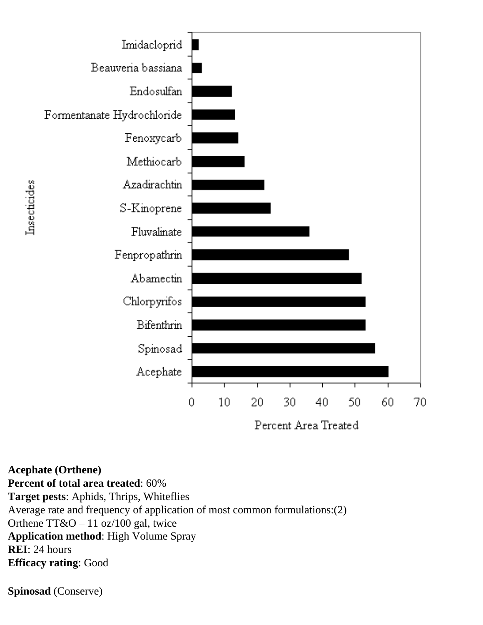

**Acephate (Orthene)**

**Percent of total area treated**: 60% **Target pests**: Aphids, Thrips, Whiteflies Average rate and frequency of application of most common formulations:(2) Orthene  $TT&O - 11$  oz/100 gal, twice **Application method**: High Volume Spray **REI**: 24 hours **Efficacy rating**: Good

**Spinosad** (Conserve)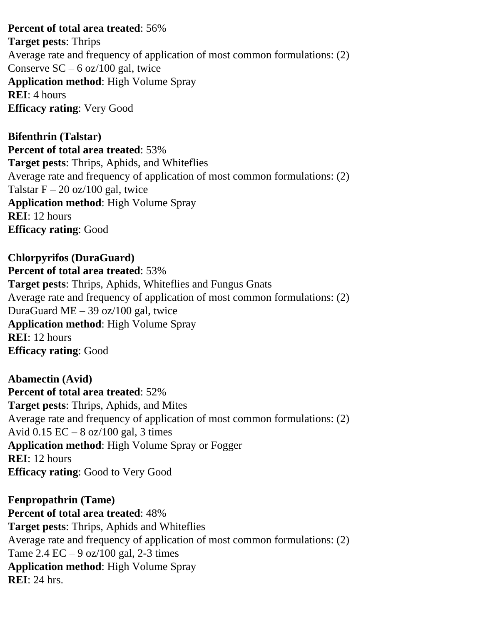#### **Percent of total area treated**: 56%

**Target pests**: Thrips Average rate and frequency of application of most common formulations: (2) Conserve  $SC - 6$  oz/100 gal, twice **Application method**: High Volume Spray **REI**: 4 hours **Efficacy rating**: Very Good

**Bifenthrin (Talstar) Percent of total area treated**: 53% **Target pests**: Thrips, Aphids, and Whiteflies Average rate and frequency of application of most common formulations: (2) Talstar  $F - 20$  oz/100 gal, twice **Application method**: High Volume Spray **REI**: 12 hours **Efficacy rating**: Good

**Chlorpyrifos (DuraGuard) Percent of total area treated**: 53% **Target pests**: Thrips, Aphids, Whiteflies and Fungus Gnats Average rate and frequency of application of most common formulations: (2) DuraGuard ME – 39 oz/100 gal, twice **Application method**: High Volume Spray **REI**: 12 hours **Efficacy rating**: Good

**Abamectin (Avid) Percent of total area treated**: 52% **Target pests**: Thrips, Aphids, and Mites Average rate and frequency of application of most common formulations: (2) Avid  $0.15$  EC – 8 oz/100 gal, 3 times **Application method**: High Volume Spray or Fogger **REI**: 12 hours **Efficacy rating**: Good to Very Good

**Fenpropathrin (Tame) Percent of total area treated**: 48% **Target pests**: Thrips, Aphids and Whiteflies Average rate and frequency of application of most common formulations: (2) Tame 2.4 EC – 9 oz/100 gal, 2-3 times **Application method**: High Volume Spray **REI**: 24 hrs.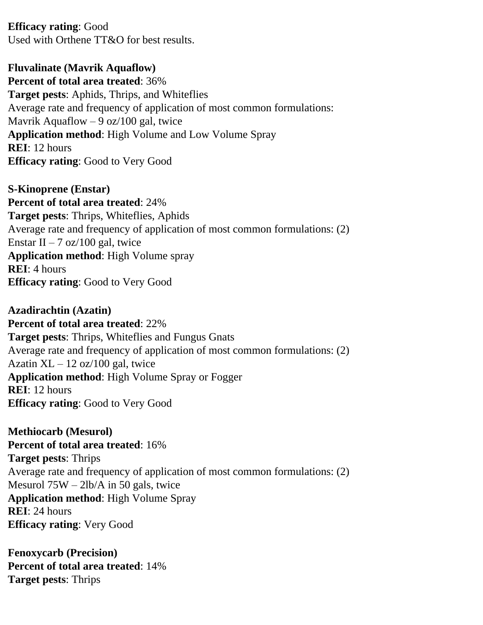**Efficacy rating**: Good Used with Orthene TT&O for best results.

**Fluvalinate (Mavrik Aquaflow) Percent of total area treated**: 36% **Target pests**: Aphids, Thrips, and Whiteflies Average rate and frequency of application of most common formulations: Mavrik Aquaflow  $-9$  oz/100 gal, twice **Application method**: High Volume and Low Volume Spray **REI**: 12 hours **Efficacy rating**: Good to Very Good

**S-Kinoprene (Enstar) Percent of total area treated**: 24% **Target pests**: Thrips, Whiteflies, Aphids Average rate and frequency of application of most common formulations: (2) Enstar II – 7 oz/100 gal, twice **Application method**: High Volume spray **REI**: 4 hours **Efficacy rating**: Good to Very Good

**Azadirachtin (Azatin) Percent of total area treated**: 22% **Target pests**: Thrips, Whiteflies and Fungus Gnats Average rate and frequency of application of most common formulations: (2) Azatin  $XL - 12$  oz/100 gal, twice **Application method**: High Volume Spray or Fogger **REI**: 12 hours **Efficacy rating**: Good to Very Good

**Methiocarb (Mesurol) Percent of total area treated**: 16% **Target pests**: Thrips Average rate and frequency of application of most common formulations: (2) Mesurol 75W – 2lb/A in 50 gals, twice **Application method**: High Volume Spray **REI**: 24 hours **Efficacy rating**: Very Good

**Fenoxycarb (Precision) Percent of total area treated**: 14% **Target pests**: Thrips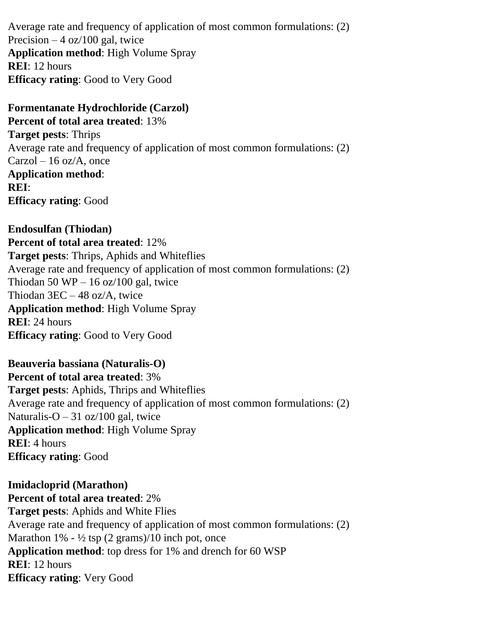Average rate and frequency of application of most common formulations: (2) Precision  $-4$  oz/100 gal, twice **Application method**: High Volume Spray **REI**: 12 hours **Efficacy rating**: Good to Very Good

**Formentanate Hydrochloride (Carzol) Percent of total area treated**: 13% **Target pests**: Thrips Average rate and frequency of application of most common formulations: (2)  $Carzol - 16$  oz/A, once **Application method**: **REI**: **Efficacy rating**: Good

**Endosulfan (Thiodan) Percent of total area treated**: 12% **Target pests**: Thrips, Aphids and Whiteflies Average rate and frequency of application of most common formulations: (2) Thiodan 50 WP – 16 oz/100 gal, twice Thiodan 3EC – 48 oz/A, twice **Application method**: High Volume Spray **REI**: 24 hours **Efficacy rating**: Good to Very Good

**Beauveria bassiana (Naturalis-O) Percent of total area treated**: 3% **Target pests**: Aphids, Thrips and Whiteflies Average rate and frequency of application of most common formulations: (2) Naturalis-O  $-31$  oz/100 gal, twice **Application method**: High Volume Spray **REI**: 4 hours **Efficacy rating**: Good

**Imidacloprid (Marathon) Percent of total area treated**: 2% **Target pests**: Aphids and White Flies Average rate and frequency of application of most common formulations: (2) Marathon  $1\%$  -  $\frac{1}{2}$  tsp (2 grams)/10 inch pot, once **Application method**: top dress for 1% and drench for 60 WSP **REI**: 12 hours **Efficacy rating**: Very Good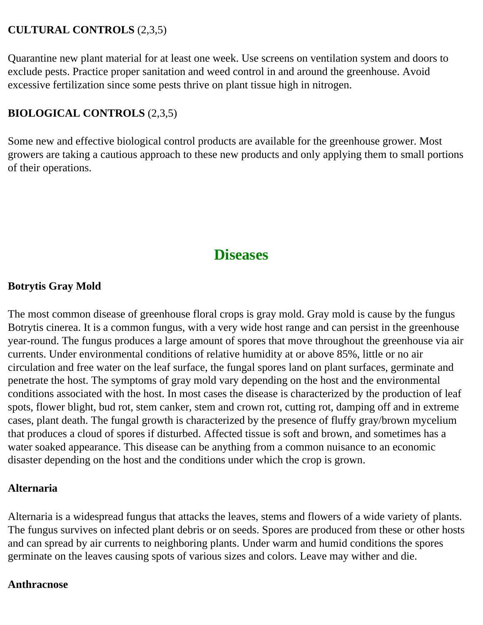### **CULTURAL CONTROLS** (2,3,5)

Quarantine new plant material for at least one week. Use screens on ventilation system and doors to exclude pests. Practice proper sanitation and weed control in and around the greenhouse. Avoid excessive fertilization since some pests thrive on plant tissue high in nitrogen.

### **BIOLOGICAL CONTROLS** (2,3,5)

Some new and effective biological control products are available for the greenhouse grower. Most growers are taking a cautious approach to these new products and only applying them to small portions of their operations.

# **Diseases**

### **Botrytis Gray Mold**

The most common disease of greenhouse floral crops is gray mold. Gray mold is cause by the fungus Botrytis cinerea. It is a common fungus, with a very wide host range and can persist in the greenhouse year-round. The fungus produces a large amount of spores that move throughout the greenhouse via air currents. Under environmental conditions of relative humidity at or above 85%, little or no air circulation and free water on the leaf surface, the fungal spores land on plant surfaces, germinate and penetrate the host. The symptoms of gray mold vary depending on the host and the environmental conditions associated with the host. In most cases the disease is characterized by the production of leaf spots, flower blight, bud rot, stem canker, stem and crown rot, cutting rot, damping off and in extreme cases, plant death. The fungal growth is characterized by the presence of fluffy gray/brown mycelium that produces a cloud of spores if disturbed. Affected tissue is soft and brown, and sometimes has a water soaked appearance. This disease can be anything from a common nuisance to an economic disaster depending on the host and the conditions under which the crop is grown.

### **Alternaria**

Alternaria is a widespread fungus that attacks the leaves, stems and flowers of a wide variety of plants. The fungus survives on infected plant debris or on seeds. Spores are produced from these or other hosts and can spread by air currents to neighboring plants. Under warm and humid conditions the spores germinate on the leaves causing spots of various sizes and colors. Leave may wither and die.

### **Anthracnose**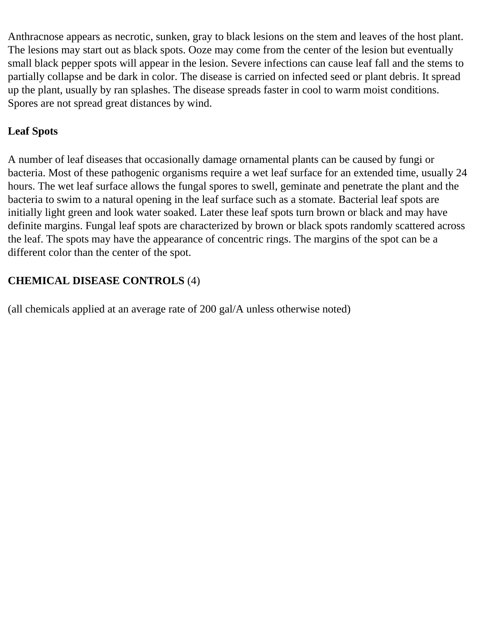Anthracnose appears as necrotic, sunken, gray to black lesions on the stem and leaves of the host plant. The lesions may start out as black spots. Ooze may come from the center of the lesion but eventually small black pepper spots will appear in the lesion. Severe infections can cause leaf fall and the stems to partially collapse and be dark in color. The disease is carried on infected seed or plant debris. It spread up the plant, usually by ran splashes. The disease spreads faster in cool to warm moist conditions. Spores are not spread great distances by wind.

### **Leaf Spots**

A number of leaf diseases that occasionally damage ornamental plants can be caused by fungi or bacteria. Most of these pathogenic organisms require a wet leaf surface for an extended time, usually 24 hours. The wet leaf surface allows the fungal spores to swell, geminate and penetrate the plant and the bacteria to swim to a natural opening in the leaf surface such as a stomate. Bacterial leaf spots are initially light green and look water soaked. Later these leaf spots turn brown or black and may have definite margins. Fungal leaf spots are characterized by brown or black spots randomly scattered across the leaf. The spots may have the appearance of concentric rings. The margins of the spot can be a different color than the center of the spot.

### **CHEMICAL DISEASE CONTROLS** (4)

(all chemicals applied at an average rate of 200 gal/A unless otherwise noted)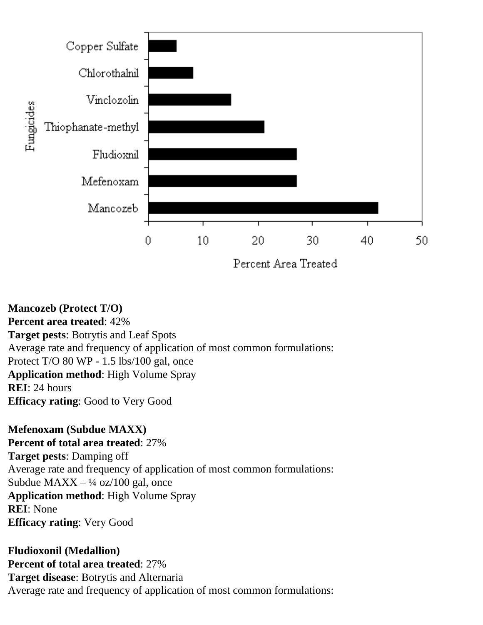

**Mancozeb (Protect T/O) Percent area treated**: 42% **Target pests**: Botrytis and Leaf Spots Average rate and frequency of application of most common formulations: Protect T/O 80 WP - 1.5 lbs/100 gal, once **Application method**: High Volume Spray **REI**: 24 hours **Efficacy rating**: Good to Very Good

**Mefenoxam (Subdue MAXX) Percent of total area treated**: 27% **Target pests**: Damping off Average rate and frequency of application of most common formulations: Subdue  $MAXX - \frac{1}{4}$  oz/100 gal, once **Application method**: High Volume Spray **REI**: None **Efficacy rating**: Very Good

**Fludioxonil (Medallion) Percent of total area treated**: 27% **Target disease**: Botrytis and Alternaria Average rate and frequency of application of most common formulations: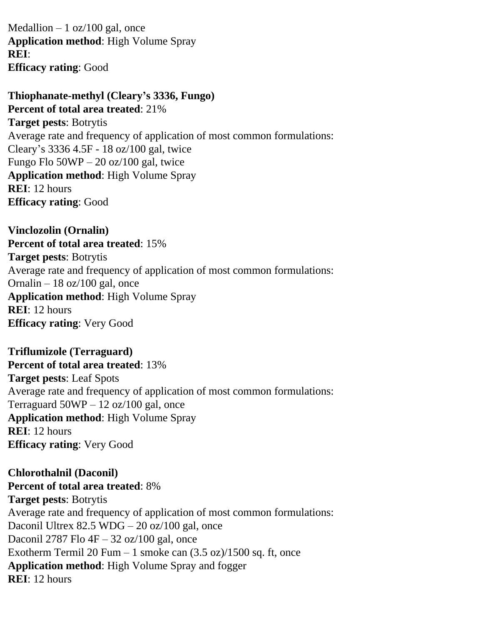Medallion  $-1$  oz/100 gal, once **Application method**: High Volume Spray **REI**: **Efficacy rating**: Good

**Thiophanate-methyl (Cleary's 3336, Fungo) Percent of total area treated**: 21% **Target pests**: Botrytis Average rate and frequency of application of most common formulations: Cleary's 3336 4.5F - 18 oz/100 gal, twice Fungo Flo  $50WP - 20$  oz/100 gal, twice **Application method**: High Volume Spray **REI**: 12 hours **Efficacy rating**: Good

**Vinclozolin (Ornalin) Percent of total area treated**: 15% **Target pests**: Botrytis Average rate and frequency of application of most common formulations: Ornalin  $-18$  oz/100 gal, once **Application method**: High Volume Spray **REI**: 12 hours **Efficacy rating**: Very Good

**Triflumizole (Terraguard) Percent of total area treated**: 13% **Target pests**: Leaf Spots Average rate and frequency of application of most common formulations: Terraguard  $50WP - 12$  oz/100 gal, once **Application method**: High Volume Spray **REI**: 12 hours **Efficacy rating**: Very Good

**Chlorothalnil (Daconil) Percent of total area treated**: 8% **Target pests**: Botrytis Average rate and frequency of application of most common formulations: Daconil Ultrex 82.5 WDG – 20 oz/100 gal, once Daconil 2787 Flo 4F – 32 oz/100 gal, once Exotherm Termil 20 Fum  $-1$  smoke can  $(3.5 \text{ oz})/1500 \text{ sq. ft}$ , once **Application method**: High Volume Spray and fogger **REI**: 12 hours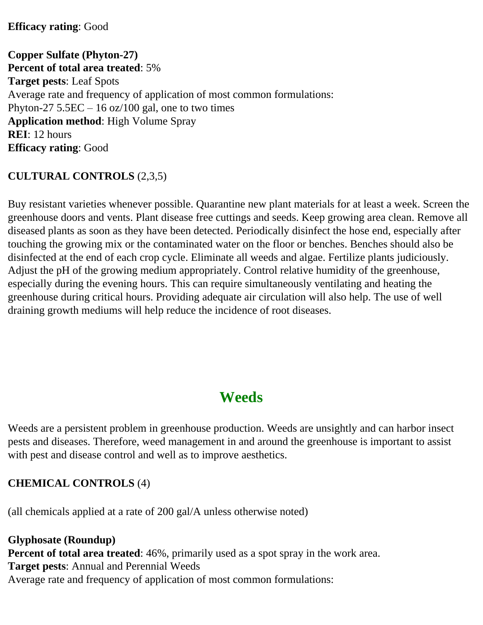#### **Efficacy rating**: Good

**Copper Sulfate (Phyton-27) Percent of total area treated**: 5% **Target pests**: Leaf Spots Average rate and frequency of application of most common formulations: Phyton-27  $5.5EC - 16$  oz/100 gal, one to two times **Application method**: High Volume Spray **REI**: 12 hours **Efficacy rating**: Good

### **CULTURAL CONTROLS** (2,3,5)

Buy resistant varieties whenever possible. Quarantine new plant materials for at least a week. Screen the greenhouse doors and vents. Plant disease free cuttings and seeds. Keep growing area clean. Remove all diseased plants as soon as they have been detected. Periodically disinfect the hose end, especially after touching the growing mix or the contaminated water on the floor or benches. Benches should also be disinfected at the end of each crop cycle. Eliminate all weeds and algae. Fertilize plants judiciously. Adjust the pH of the growing medium appropriately. Control relative humidity of the greenhouse, especially during the evening hours. This can require simultaneously ventilating and heating the greenhouse during critical hours. Providing adequate air circulation will also help. The use of well draining growth mediums will help reduce the incidence of root diseases.

# **Weeds**

Weeds are a persistent problem in greenhouse production. Weeds are unsightly and can harbor insect pests and diseases. Therefore, weed management in and around the greenhouse is important to assist with pest and disease control and well as to improve aesthetics.

### **CHEMICAL CONTROLS** (4)

(all chemicals applied at a rate of 200 gal/A unless otherwise noted)

**Glyphosate (Roundup) Percent of total area treated**: 46%, primarily used as a spot spray in the work area. **Target pests**: Annual and Perennial Weeds Average rate and frequency of application of most common formulations: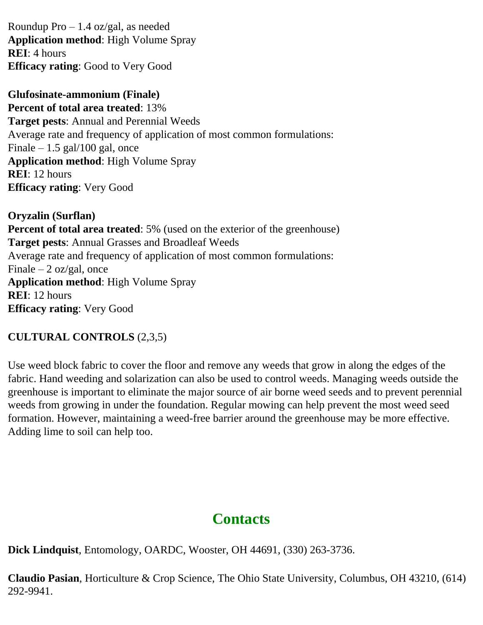Roundup Pro – 1.4 oz/gal, as needed **Application method**: High Volume Spray **REI**: 4 hours **Efficacy rating**: Good to Very Good

**Glufosinate-ammonium (Finale) Percent of total area treated**: 13% **Target pests**: Annual and Perennial Weeds Average rate and frequency of application of most common formulations: Finale  $-1.5$  gal/100 gal, once **Application method**: High Volume Spray **REI**: 12 hours **Efficacy rating**: Very Good

**Oryzalin (Surflan) Percent of total area treated**: 5% (used on the exterior of the greenhouse) **Target pests**: Annual Grasses and Broadleaf Weeds Average rate and frequency of application of most common formulations: Finale  $-2$  oz/gal, once **Application method**: High Volume Spray **REI**: 12 hours **Efficacy rating**: Very Good

### **CULTURAL CONTROLS** (2,3,5)

Use weed block fabric to cover the floor and remove any weeds that grow in along the edges of the fabric. Hand weeding and solarization can also be used to control weeds. Managing weeds outside the greenhouse is important to eliminate the major source of air borne weed seeds and to prevent perennial weeds from growing in under the foundation. Regular mowing can help prevent the most weed seed formation. However, maintaining a weed-free barrier around the greenhouse may be more effective. Adding lime to soil can help too.

# **Contacts**

**Dick Lindquist**, Entomology, OARDC, Wooster, OH 44691, (330) 263-3736.

**Claudio Pasian**, Horticulture & Crop Science, The Ohio State University, Columbus, OH 43210, (614) 292-9941.